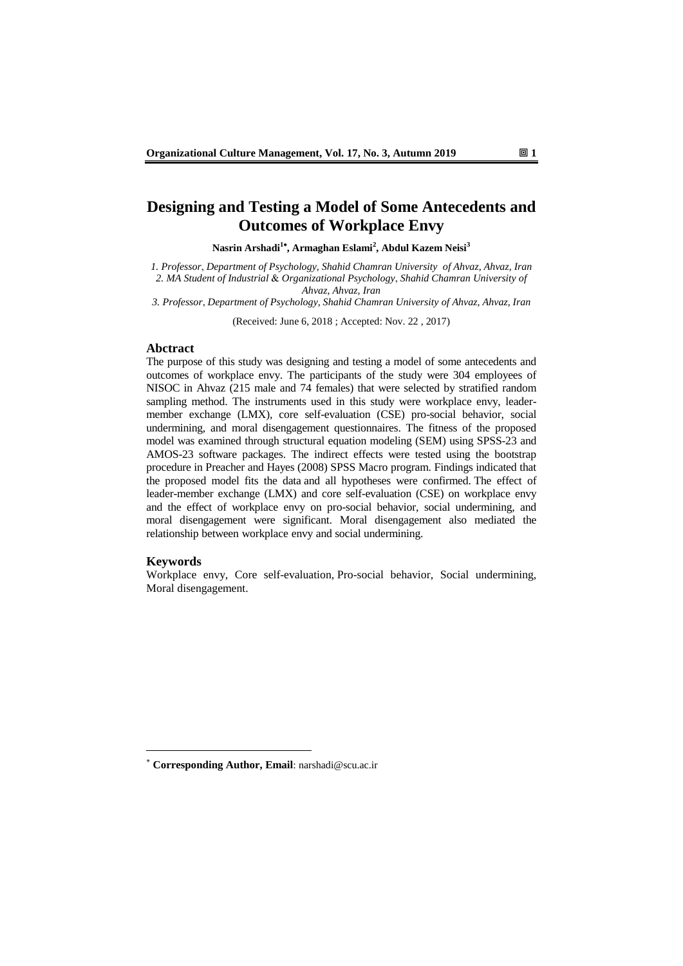# **Designing and Testing a Model of Some Antecedents and Outcomes of Workplace Envy**

**Nasrin Arshadi<sup>1</sup> , Armaghan Eslami<sup>2</sup> , Abdul Kazem Neisi<sup>3</sup>**

*1. Professor*, *Department of Psychology, Shahid Chamran University of Ahvaz, Ahvaz, Iran 2. MA Student of Industrial* & *Organizational Psychology*, *Shahid Chamran University of Ahvaz, Ahvaz, Iran*

*3. Professor*, *Department of Psychology, Shahid Chamran University of Ahvaz, Ahvaz, Iran*

(Received: June 6, 2018 ; Accepted: Nov. 22 , 2017)

### **Abctract**

The purpose of this study was designing and testing a model of some antecedents and outcomes of workplace envy. The participants of the study were 304 employees of NISOC in Ahvaz (215 male and 74 females) that were selected by stratified random sampling method. The instruments used in this study were workplace envy, leadermember exchange (LMX), core self-evaluation (CSE) pro-social behavior, social undermining, and moral disengagement questionnaires. The fitness of the proposed model was examined through structural equation modeling (SEM) using SPSS-23 and AMOS-23 software packages. The indirect effects were tested using the bootstrap procedure in Preacher and Hayes (2008) SPSS Macro program. Findings indicated that the proposed model fits the data and all hypotheses were confirmed. The effect of leader-member exchange (LMX) and core self-evaluation (CSE) on workplace envy and the effect of workplace envy on pro-social behavior, social undermining, and moral disengagement were significant. Moral disengagement also mediated the relationship between workplace envy and social undermining.

#### **Keywords**

-

Workplace envy, Core self-evaluation, Pro-social behavior, Social undermining, Moral disengagement.

**Corresponding Author, Email**: narshadi@scu.ac.ir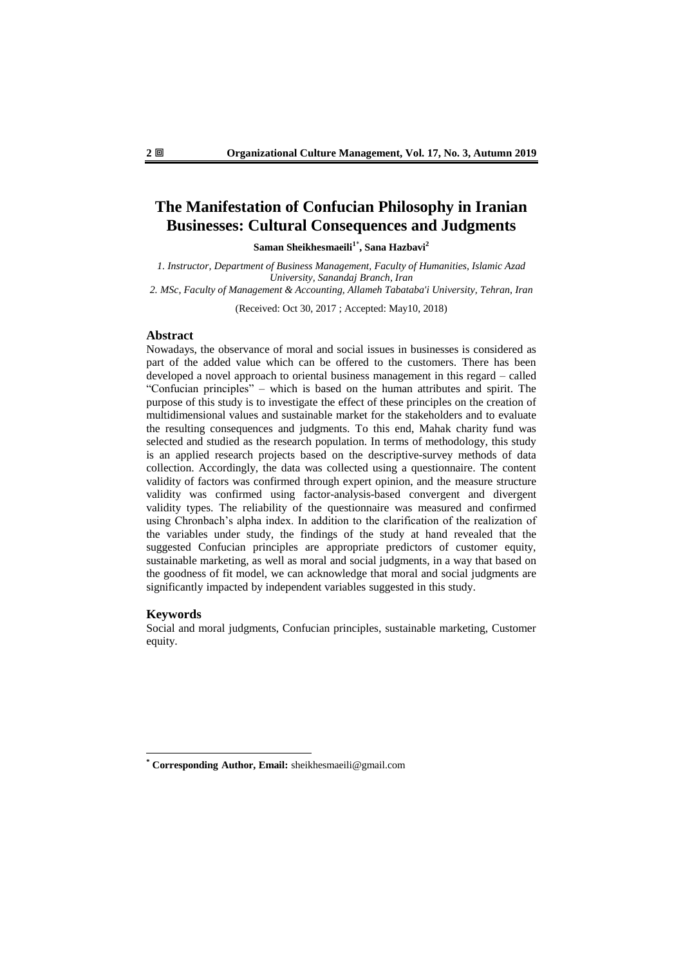# **The Manifestation of Confucian Philosophy in Iranian Businesses: Cultural Consequences and Judgments**

**Saman Sheikhesmaeili<sup>1</sup>**\* **, Sana Hazbavi<sup>2</sup>**

*1. Instructor, Department of Business Management, Faculty of Humanities, Islamic Azad University, Sanandaj Branch, Iran*

*2. MSc, Faculty of Management & Accounting, Allameh Tabataba'i University, Tehran, Iran*

(Received: Oct 30, 2017 ; Accepted: May10, 2018)

### **Abstract**

Nowadays, the observance of moral and social issues in businesses is considered as part of the added value which can be offered to the customers. There has been developed a novel approach to oriental business management in this regard – called "Confucian principles" – which is based on the human attributes and spirit. The purpose of this study is to investigate the effect of these principles on the creation of multidimensional values and sustainable market for the stakeholders and to evaluate the resulting consequences and judgments. To this end, Mahak charity fund was selected and studied as the research population. In terms of methodology, this study is an applied research projects based on the descriptive-survey methods of data collection. Accordingly, the data was collected using a questionnaire. The content validity of factors was confirmed through expert opinion, and the measure structure validity was confirmed using factor-analysis-based convergent and divergent validity types. The reliability of the questionnaire was measured and confirmed using Chronbach's alpha index. In addition to the clarification of the realization of the variables under study, the findings of the study at hand revealed that the suggested Confucian principles are appropriate predictors of customer equity, sustainable marketing, as well as moral and social judgments, in a way that based on the goodness of fit model, we can acknowledge that moral and social judgments are significantly impacted by independent variables suggested in this study.

### **Keywords**

1

Social and moral judgments, Confucian principles, sustainable marketing, Customer equity.

**<sup>\*</sup> Corresponding Author, Email:** sheikhesmaeili@gmail.com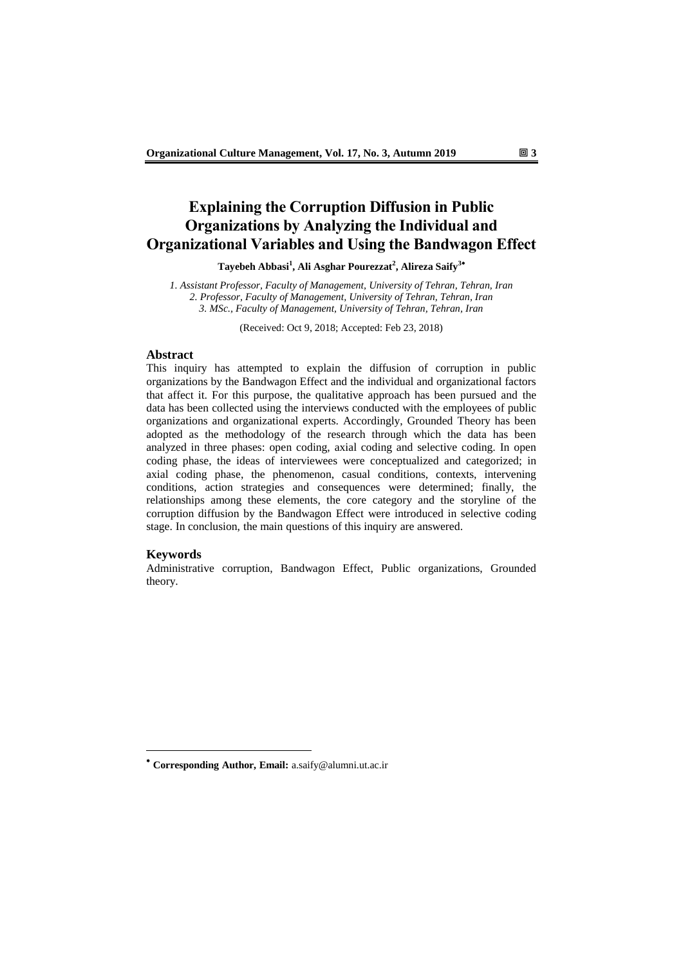# **Explaining the Corruption Diffusion in Public Organizations by Analyzing the Individual and Organizational Variables and Using the Bandwagon Effect**

**Tayebeh Abbasi<sup>1</sup> , Ali Asghar Pourezzat<sup>2</sup> , Alireza Saify<sup>3</sup>**

*1. Assistant Professor, Faculty of Management, University of Tehran, Tehran, Iran 2. Professor, Faculty of Management, University of Tehran, Tehran, Iran 3. MSc., Faculty of Management, University of Tehran, Tehran, Iran*

(Received: Oct 9, 2018; Accepted: Feb 23, 2018)

### **Abstract**

This inquiry has attempted to explain the diffusion of corruption in public organizations by the Bandwagon Effect and the individual and organizational factors that affect it. For this purpose, the qualitative approach has been pursued and the data has been collected using the interviews conducted with the employees of public organizations and organizational experts. Accordingly, Grounded Theory has been adopted as the methodology of the research through which the data has been analyzed in three phases: open coding, axial coding and selective coding. In open coding phase, the ideas of interviewees were conceptualized and categorized; in axial coding phase, the phenomenon, casual conditions, contexts, intervening conditions, action strategies and consequences were determined; finally, the relationships among these elements, the core category and the storyline of the corruption diffusion by the Bandwagon Effect were introduced in selective coding stage. In conclusion, the main questions of this inquiry are answered.

#### **Keywords**

-

Administrative corruption, Bandwagon Effect, Public organizations, Grounded theory.

**Corresponding Author, Email:** a.saify@alumni.ut.ac.ir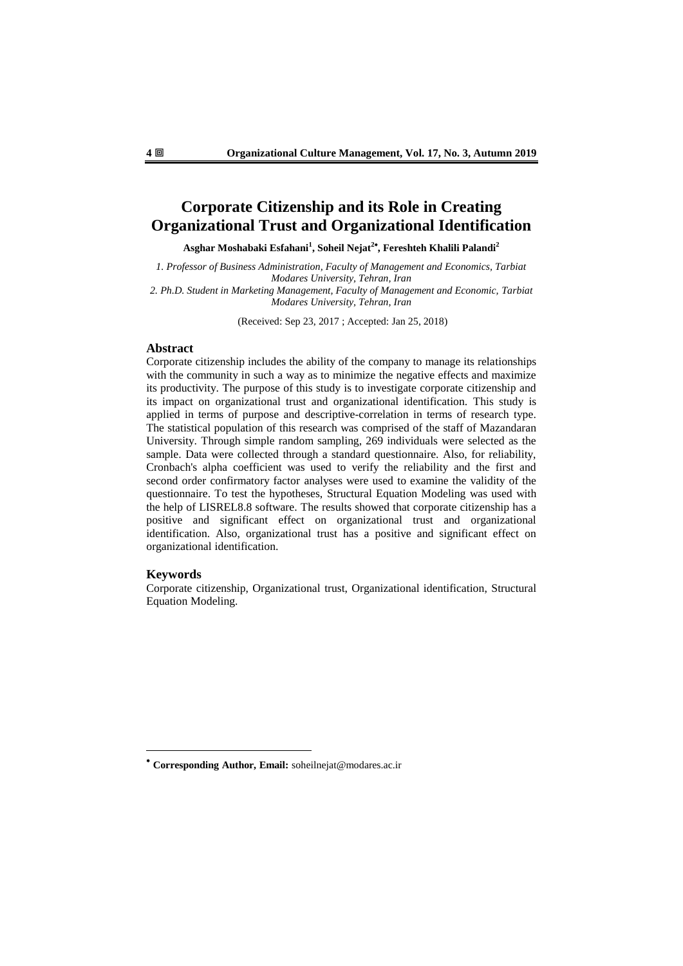# **Corporate Citizenship and its Role in Creating Organizational Trust and Organizational Identification**

**Asghar Moshabaki Esfahani<sup>1</sup> , Soheil Nejat<sup>2</sup> , Fereshteh Khalili Palandi<sup>2</sup>**

*1. Professor of Business Administration, Faculty of Management and Economics, Tarbiat Modares University, Tehran, Iran*

2. Ph.D. Student in Marketing Management, Faculty of Management and Economic, Tarbiat *Modares University, Tehran, Iran*

(Received: Sep 23, 2017 ; Accepted: Jan 25, 2018)

### **Abstract**

Corporate citizenship includes the ability of the company to manage its relationships with the community in such a way as to minimize the negative effects and maximize its productivity. The purpose of this study is to investigate corporate citizenship and its impact on organizational trust and organizational identification. This study is applied in terms of purpose and descriptive-correlation in terms of research type. The statistical population of this research was comprised of the staff of Mazandaran University. Through simple random sampling, 269 individuals were selected as the sample. Data were collected through a standard questionnaire. Also, for reliability, Cronbach's alpha coefficient was used to verify the reliability and the first and second order confirmatory factor analyses were used to examine the validity of the questionnaire. To test the hypotheses, Structural Equation Modeling was used with the help of LISREL8.8 software. The results showed that corporate citizenship has a positive and significant effect on organizational trust and organizational identification. Also, organizational trust has a positive and significant effect on organizational identification.

#### **Keywords**

-

Corporate citizenship, Organizational trust, Organizational identification, Structural Equation Modeling.

**Corresponding Author, Email:** soheilnejat@modares.ac.ir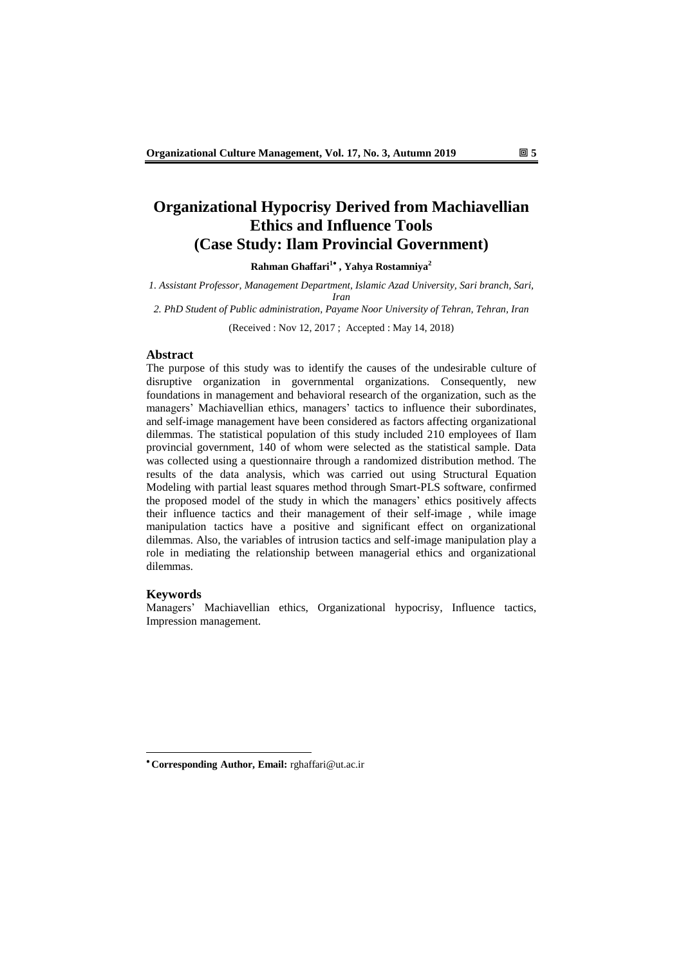# **Organizational Hypocrisy Derived from Machiavellian Ethics and Influence Tools (Case Study: Ilam Provincial Government)**

**Rahman Ghaffari 1 , Yahya Rostamniya<sup>2</sup>**

*1. Assistant Professor, Management Department, Islamic Azad University, Sari branch, Sari, Iran*

*2. PhD Student of Public administration, Payame Noor University of Tehran, Tehran, Iran*

(Received : Nov 12, 2017 ; Accepted : May 14, 2018)

#### **Abstract**

The purpose of this study was to identify the causes of the undesirable culture of disruptive organization in governmental organizations. Consequently, new foundations in management and behavioral research of the organization, such as the managers' Machiavellian ethics, managers' tactics to influence their subordinates, and self-image management have been considered as factors affecting organizational dilemmas. The statistical population of this study included 210 employees of Ilam provincial government, 140 of whom were selected as the statistical sample. Data was collected using a questionnaire through a randomized distribution method. The results of the data analysis, which was carried out using Structural Equation Modeling with partial least squares method through Smart-PLS software, confirmed the proposed model of the study in which the managers' ethics positively affects their influence tactics and their management of their self-image , while image manipulation tactics have a positive and significant effect on organizational dilemmas. Also, the variables of intrusion tactics and self-image manipulation play a role in mediating the relationship between managerial ethics and organizational dilemmas.

#### **Keywords**

1

Managers' Machiavellian ethics, Organizational hypocrisy, Influence tactics, Impression management.

**Corresponding Author, Email:** rghaffari@ut.ac.ir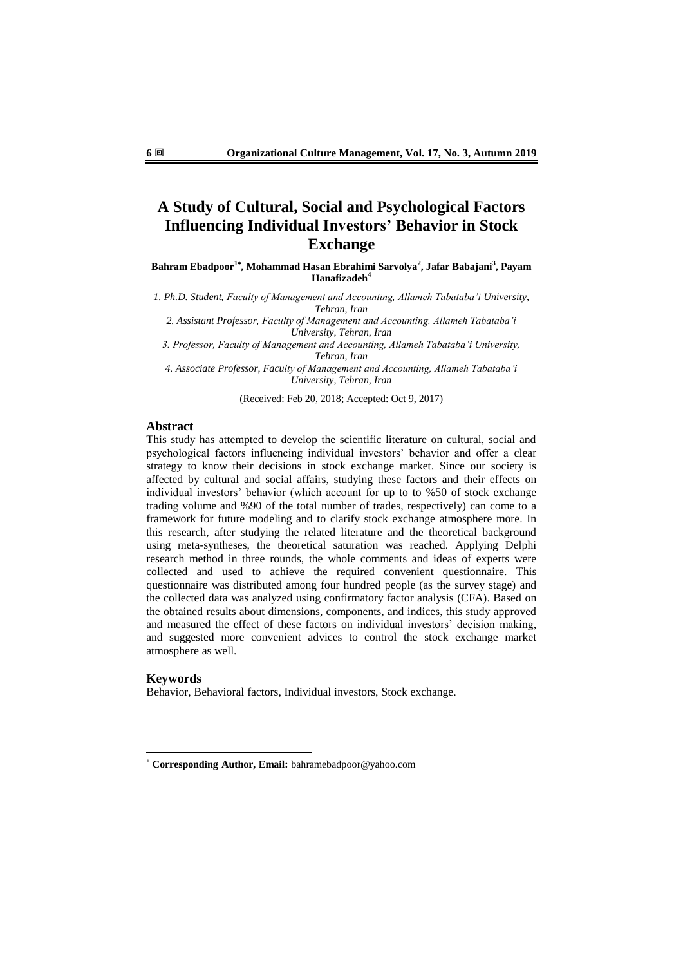# **A Study of Cultural, Social and Psychological Factors Influencing Individual Investors' Behavior in Stock Exchange**

**Bahram Ebadpoor<sup>1</sup> , Mohammad Hasan Ebrahimi Sarvolya<sup>2</sup> , Jafar Babajani<sup>3</sup> , Payam Hanafizadeh<sup>4</sup>**

*1. Ph.D. Student, Faculty of Management and Accounting, Allameh Tabataba'i University, Tehran, Iran*

*2. Assistant Professor, Faculty of Management and Accounting, Allameh Tabataba'i University, Tehran, Iran*

*3. Professor, Faculty of Management and Accounting, Allameh Tabataba'i University, Tehran, Iran*

*4. Associate Professor, Faculty of Management and Accounting, Allameh Tabataba'i University, Tehran, Iran*

(Received: Feb 20, 2018; Accepted: Oct 9, 2017)

## **Abstract**

This study has attempted to develop the scientific literature on cultural, social and psychological factors influencing individual investors' behavior and offer a clear strategy to know their decisions in stock exchange market. Since our society is affected by cultural and social affairs, studying these factors and their effects on individual investors' behavior (which account for up to to %50 of stock exchange trading volume and %90 of the total number of trades, respectively) can come to a framework for future modeling and to clarify stock exchange atmosphere more. In this research, after studying the related literature and the theoretical background using meta-syntheses, the theoretical saturation was reached. Applying Delphi research method in three rounds, the whole comments and ideas of experts were collected and used to achieve the required convenient questionnaire. This questionnaire was distributed among four hundred people (as the survey stage) and the collected data was analyzed using confirmatory factor analysis (CFA). Based on the obtained results about dimensions, components, and indices, this study approved and measured the effect of these factors on individual investors' decision making, and suggested more convenient advices to control the stock exchange market atmosphere as well.

#### **Keywords**

1

Behavior, Behavioral factors, Individual investors, Stock exchange.

**Corresponding Author, Email:** bahramebadpoor@yahoo.com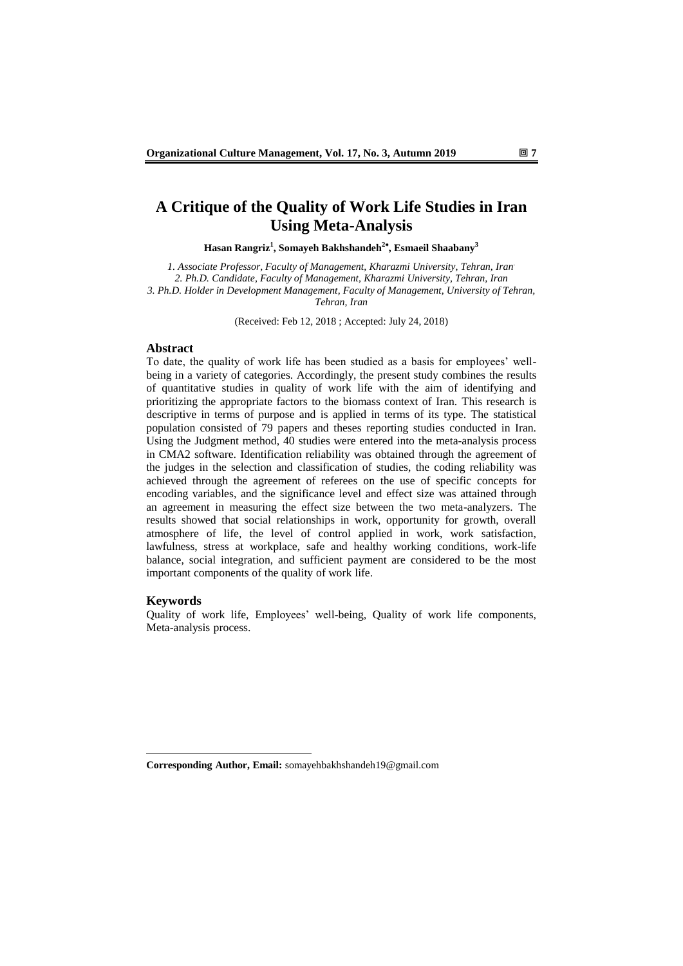# **A Critique of the Quality of Work Life Studies in Iran Using Meta-Analysis**

**Hasan Rangriz<sup>1</sup> , Somayeh Bakhshandeh<sup>2</sup> , Esmaeil Shaabany<sup>3</sup>**

*1. Associate Professor, Faculty of Management, Kharazmi University, Tehran, Iran. 2. Ph.D. Candidate, Faculty of Management, Kharazmi University, Tehran, Iran 3. Ph.D. Holder in Development Management, Faculty of Management, University of Tehran, Tehran, Iran*

(Received: Feb 12, 2018 ; Accepted: July 24, 2018)

### **Abstract**

To date, the quality of work life has been studied as a basis for employees' wellbeing in a variety of categories. Accordingly, the present study combines the results of quantitative studies in quality of work life with the aim of identifying and prioritizing the appropriate factors to the biomass context of Iran. This research is descriptive in terms of purpose and is applied in terms of its type. The statistical population consisted of 79 papers and theses reporting studies conducted in Iran. Using the Judgment method, 40 studies were entered into the meta-analysis process in CMA2 software. Identification reliability was obtained through the agreement of the judges in the selection and classification of studies, the coding reliability was achieved through the agreement of referees on the use of specific concepts for encoding variables, and the significance level and effect size was attained through an agreement in measuring the effect size between the two meta-analyzers. The results showed that social relationships in work, opportunity for growth, overall atmosphere of life, the level of control applied in work, work satisfaction, lawfulness, stress at workplace, safe and healthy working conditions, work-life balance, social integration, and sufficient payment are considered to be the most important components of the quality of work life.

#### **Keywords**

1

Quality of work life, Employees' well-being, Quality of work life components, Meta-analysis process.

**Corresponding Author, Email:** somayehbakhshandeh19@gmail.com